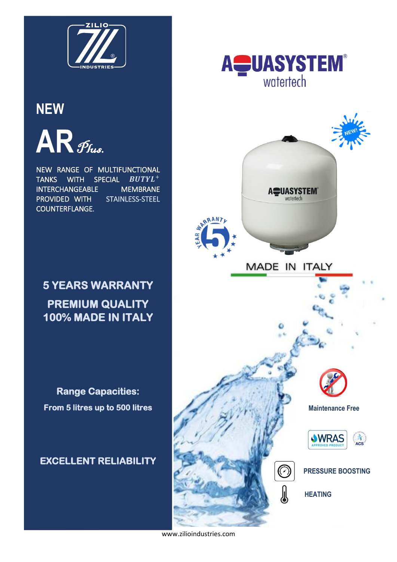

## **NEW**

 $AR$  Fius.

NEW RANGE OF MULTIFUNCTIONAL TANKS WITH SPECIAL  $BUTYL^+$ INTERCHANGEABLE MEMBRANE PROVIDED WITH STAINLESS-STEEL COUNTERFLANGE.

# **5 YEARS WARRANTY PREMIUM QUALITY 100% MADE IN ITALY**

**Range Capacities: From 5 litres up to 500 litres** 

### **EXCELLENT RELIABILITY**





www.zilioindustries.com